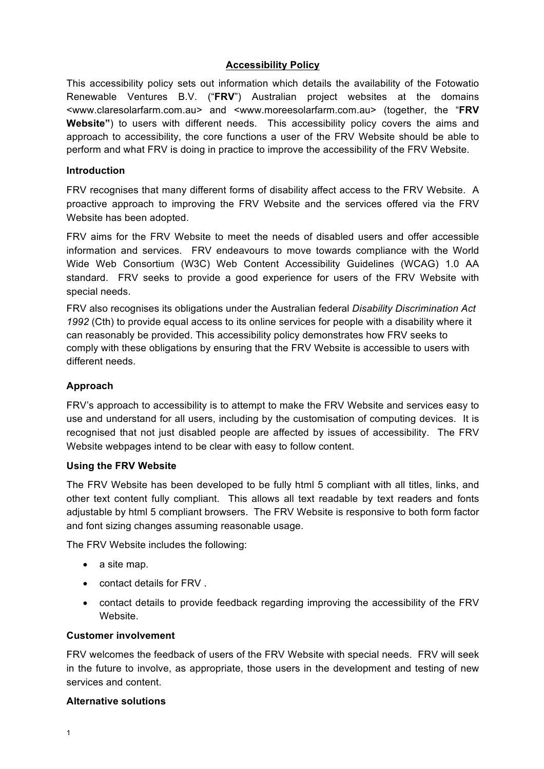# **Accessibility Policy**

This accessibility policy sets out information which details the availability of the Fotowatio Renewable Ventures B.V. ("**FRV**") Australian project websites at the domains <www.claresolarfarm.com.au> and <www.moreesolarfarm.com.au> (together, the "**FRV Website"**) to users with different needs. This accessibility policy covers the aims and approach to accessibility, the core functions a user of the FRV Website should be able to perform and what FRV is doing in practice to improve the accessibility of the FRV Website.

### **Introduction**

FRV recognises that many different forms of disability affect access to the FRV Website. A proactive approach to improving the FRV Website and the services offered via the FRV Website has been adopted.

FRV aims for the FRV Website to meet the needs of disabled users and offer accessible information and services. FRV endeavours to move towards compliance with the World Wide Web Consortium (W3C) Web Content Accessibility Guidelines (WCAG) 1.0 AA standard. FRV seeks to provide a good experience for users of the FRV Website with special needs.

FRV also recognises its obligations under the Australian federal *Disability Discrimination Act 1992* (Cth) to provide equal access to its online services for people with a disability where it can reasonably be provided. This accessibility policy demonstrates how FRV seeks to comply with these obligations by ensuring that the FRV Website is accessible to users with different needs.

## **Approach**

FRV's approach to accessibility is to attempt to make the FRV Website and services easy to use and understand for all users, including by the customisation of computing devices. It is recognised that not just disabled people are affected by issues of accessibility. The FRV Website webpages intend to be clear with easy to follow content.

#### **Using the FRV Website**

The FRV Website has been developed to be fully html 5 compliant with all titles, links, and other text content fully compliant. This allows all text readable by text readers and fonts adjustable by html 5 compliant browsers. The FRV Website is responsive to both form factor and font sizing changes assuming reasonable usage.

The FRV Website includes the following:

- a site map.
- contact details for FRV .
- contact details to provide feedback regarding improving the accessibility of the FRV Website.

#### **Customer involvement**

FRV welcomes the feedback of users of the FRV Website with special needs. FRV will seek in the future to involve, as appropriate, those users in the development and testing of new services and content.

#### **Alternative solutions**